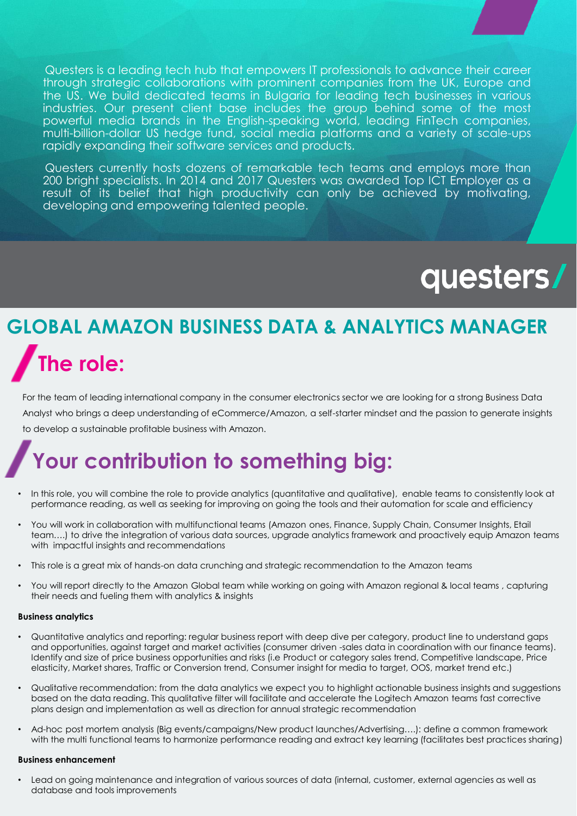Questers is a leading tech hub that empowers IT professionals to advance their career through strategic collaborations with prominent companies from the UK, Europe and the US. We build dedicated teams in Bulgaria for leading tech businesses in various industries. Our present client base includes the group behind some of the most powerful media brands in the English-speaking world, leading FinTech companies, multi-billion-dollar US hedge fund, social media platforms and a variety of scale-ups rapidly expanding their software services and products.

Questers currently hosts dozens of remarkable tech teams and employs more than 200 bright specialists. In 2014 and 2017 Questers was awarded Top ICT Employer as a result of its belief that high productivity can only be achieved by motivating, developing and empowering talented people.

# questers/

## **GLOBAL AMAZON BUSINESS DATA & ANALYTICS MANAGER The role:**

For the team of leading international company in the consumer electronics sector we are looking for a strong Business Data Analyst who brings a deep understanding of eCommerce/Amazon, a self-starter mindset and the passion to generate insights to develop a sustainable profitable business with Amazon.

### **Your contribution to something big:**

- In this role, you will combine the role to provide analytics (quantitative and qualitative), enable teams to consistently look at performance reading, as well as seeking for improving on going the tools and their automation for scale and efficiency
- You will work in collaboration with multifunctional teams (Amazon ones, Finance, Supply Chain, Consumer Insights, Etail team….) to drive the integration of various data sources, upgrade analytics framework and proactively equip Amazon teams with impactful insights and recommendations
- This role is a great mix of hands-on data crunching and strategic recommendation to the Amazon teams
- You will report directly to the Amazon Global team while working on going with Amazon regional & local teams , capturing their needs and fueling them with analytics & insights

#### **Business analytics**

- Quantitative analytics and reporting: regular business report with deep dive per category, product line to understand gaps and opportunities, against target and market activities (consumer driven -sales data in coordination with our finance teams). Identify and size of price business opportunities and risks (i.e Product or category sales trend, Competitive landscape, Price elasticity, Market shares, Traffic or Conversion trend, Consumer insight for media to target, OOS, market trend etc.)
- Qualitative recommendation: from the data analytics we expect you to highlight actionable business insights and suggestions based on the data reading. This qualitative filter will facilitate and accelerate the Logitech Amazon teams fast corrective plans design and implementation as well as direction for annual strategic recommendation
- Ad-hoc post mortem analysis (Big events/campaigns/New product launches/Advertising….): define a common framework with the multi functional teams to harmonize performance reading and extract key learning (facilitates best practices sharing)

#### **Business enhancement**

• Lead on going maintenance and integration of various sources of data (internal, customer, external agencies as well as database and tools improvements